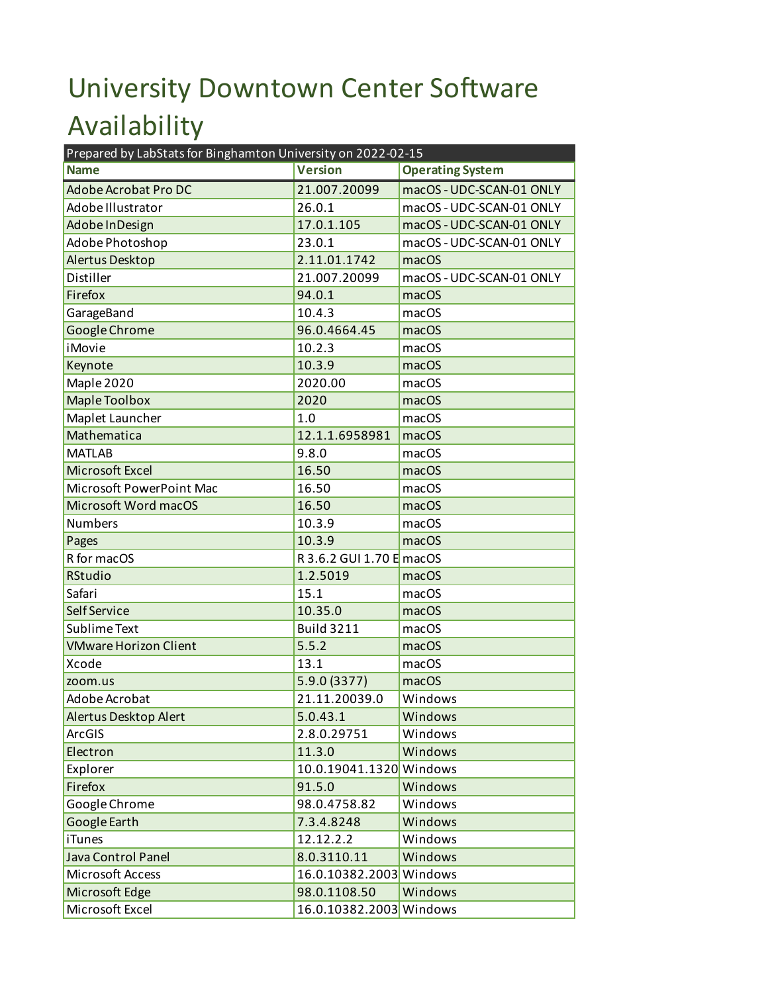## University Downtown Center Software Availability

| Prepared by LabStats for Binghamton University on 2022-02-15 |                          |                          |  |
|--------------------------------------------------------------|--------------------------|--------------------------|--|
| <b>Name</b>                                                  | <b>Version</b>           | <b>Operating System</b>  |  |
| <b>Adobe Acrobat Pro DC</b>                                  | 21.007.20099             | macOS - UDC-SCAN-01 ONLY |  |
| Adobe Illustrator                                            | 26.0.1                   | macOS - UDC-SCAN-01 ONLY |  |
| Adobe In Design                                              | 17.0.1.105               | macOS - UDC-SCAN-01 ONLY |  |
| Adobe Photoshop                                              | 23.0.1                   | macOS - UDC-SCAN-01 ONLY |  |
| Alertus Desktop                                              | 2.11.01.1742             | macOS                    |  |
| Distiller                                                    | 21.007.20099             | macOS - UDC-SCAN-01 ONLY |  |
| Firefox                                                      | 94.0.1                   | macOS                    |  |
| GarageBand                                                   | 10.4.3                   | macOS                    |  |
| Google Chrome                                                | 96.0.4664.45             | macOS                    |  |
| iMovie                                                       | 10.2.3                   | macOS                    |  |
| Keynote                                                      | 10.3.9                   | macOS                    |  |
| Maple 2020                                                   | 2020.00                  | macOS                    |  |
| <b>Maple Toolbox</b>                                         | 2020                     | macOS                    |  |
| Maplet Launcher                                              | 1.0                      | macOS                    |  |
| Mathematica                                                  | 12.1.1.6958981           | macOS                    |  |
| <b>MATLAB</b>                                                | 9.8.0                    | macOS                    |  |
| Microsoft Excel                                              | 16.50                    | macOS                    |  |
| Microsoft PowerPoint Mac                                     | 16.50                    | macOS                    |  |
| Microsoft Word macOS                                         | 16.50                    | macOS                    |  |
| <b>Numbers</b>                                               | 10.3.9                   | macOS                    |  |
| Pages                                                        | 10.3.9                   | macOS                    |  |
| R for macOS                                                  | R 3.6.2 GUI 1.70 E macOS |                          |  |
| <b>RStudio</b>                                               | 1.2.5019                 | macOS                    |  |
| Safari                                                       | 15.1                     | macOS                    |  |
| <b>Self Service</b>                                          | 10.35.0                  | macOS                    |  |
| Sublime Text                                                 | <b>Build 3211</b>        | macOS                    |  |
| <b>VMware Horizon Client</b>                                 | 5.5.2                    | macOS                    |  |
| Xcode                                                        | 13.1                     | macOS                    |  |
| zoom.us                                                      | 5.9.0 (3377)             | macOS                    |  |
| Adobe Acrobat                                                | 21.11.20039.0            | Windows                  |  |
| Alertus Desktop Alert                                        | 5.0.43.1                 | Windows                  |  |
| ArcGIS                                                       | 2.8.0.29751              | Windows                  |  |
| Electron                                                     | 11.3.0                   | Windows                  |  |
| Explorer                                                     | 10.0.19041.1320 Windows  |                          |  |
| Firefox                                                      | 91.5.0                   | Windows                  |  |
| Google Chrome                                                | 98.0.4758.82             | Windows                  |  |
| Google Earth                                                 | 7.3.4.8248               | Windows                  |  |
| <b>iTunes</b>                                                | 12.12.2.2                | Windows                  |  |
| Java Control Panel                                           | 8.0.3110.11              | Windows                  |  |
| Microsoft Access                                             | 16.0.10382.2003 Windows  |                          |  |
| Microsoft Edge                                               | 98.0.1108.50             | Windows                  |  |
| Microsoft Excel                                              | 16.0.10382.2003 Windows  |                          |  |